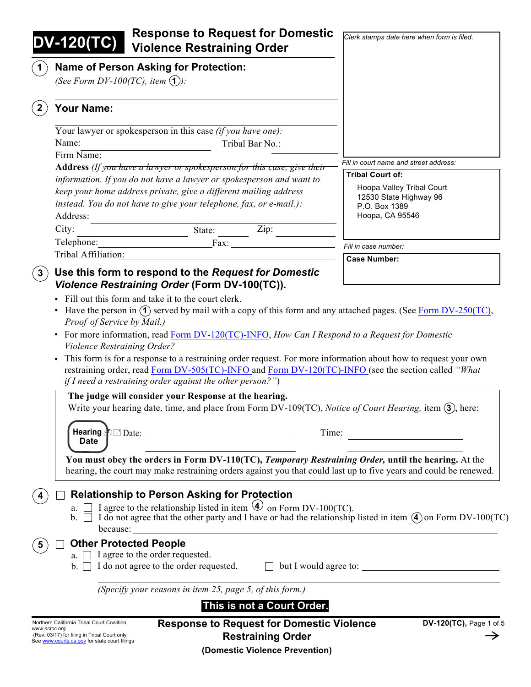| <b>Response to Request for Domestic</b><br><b>DV-120(TC)</b><br><b>Violence Restraining Order</b>                                                                                                                                                                                                                                      | Clerk stamps date here when form is filed.                                                                                                                                                                               |
|----------------------------------------------------------------------------------------------------------------------------------------------------------------------------------------------------------------------------------------------------------------------------------------------------------------------------------------|--------------------------------------------------------------------------------------------------------------------------------------------------------------------------------------------------------------------------|
| <b>Name of Person Asking for Protection:</b><br>(See Form DV-100(TC), item $(1)$ ):                                                                                                                                                                                                                                                    |                                                                                                                                                                                                                          |
| <b>Your Name:</b>                                                                                                                                                                                                                                                                                                                      |                                                                                                                                                                                                                          |
| Your lawyer or spokesperson in this case (if you have one):<br>Name:                                                                                                                                                                                                                                                                   | Tribal Bar No.:                                                                                                                                                                                                          |
| Firm Name:<br>Address (If you have a lawyer or spokesperson for this case, give their<br>information. If you do not have a lawyer or spokesperson and want to<br>keep your home address private, give a different mailing address<br>instead. You do not have to give your telephone, fax, or e-mail.):<br>Address:<br>City:<br>State: | Fill in court name and street address:<br><b>Tribal Court of:</b><br>Hoopa Valley Tribal Court<br>12530 State Highway 96<br>P.O. Box 1389<br>Hoopa, CA 95546<br>Zip:                                                     |
| Telephone:<br>Fax:                                                                                                                                                                                                                                                                                                                     | Fill in case number:                                                                                                                                                                                                     |
| Tribal Affiliation:                                                                                                                                                                                                                                                                                                                    | <b>Case Number:</b>                                                                                                                                                                                                      |
| if I need a restraining order against the other person?")<br>The judge will consider your Response at the hearing.                                                                                                                                                                                                                     | restraining order, read Form DV-505(TC)-INFO and Form DV-120(TC)-INFO (see the section called "What<br>Write your hearing date, time, and place from Form DV-109(TC), Notice of Court Hearing, item (3), here:           |
| Hearing $\blacksquare$ Date:<br><u> 1989 - Johann Barn, mars eta bainar eta idazlea (</u><br><b>Date</b>                                                                                                                                                                                                                               | Time:                                                                                                                                                                                                                    |
|                                                                                                                                                                                                                                                                                                                                        | You must obey the orders in Form DV-110(TC), Temporary Restraining Order, until the hearing. At the<br>hearing, the court may make restraining orders against you that could last up to five years and could be renewed. |
| <b>Relationship to Person Asking for Protection</b><br>a. $\Box$ I agree to the relationship listed in item $\Phi$ on Form DV-100(TC).                                                                                                                                                                                                 | $\overline{\mathbf{b}}$ . $\Box$ I do not agree that the other party and I have or had the relationship listed in item $\overline{4}$ on Form DV-100(TC)                                                                 |
| <b>Other Protected People</b><br>a. $\Box$ I agree to the order requested.<br>$\Box$ I do not agree to the order requested,<br>$b_{\perp}$                                                                                                                                                                                             | but I would agree to:                                                                                                                                                                                                    |
|                                                                                                                                                                                                                                                                                                                                        |                                                                                                                                                                                                                          |
| (Specify your reasons in item 25, page 5, of this form.)                                                                                                                                                                                                                                                                               |                                                                                                                                                                                                                          |

**(Domestic Violence Prevention)**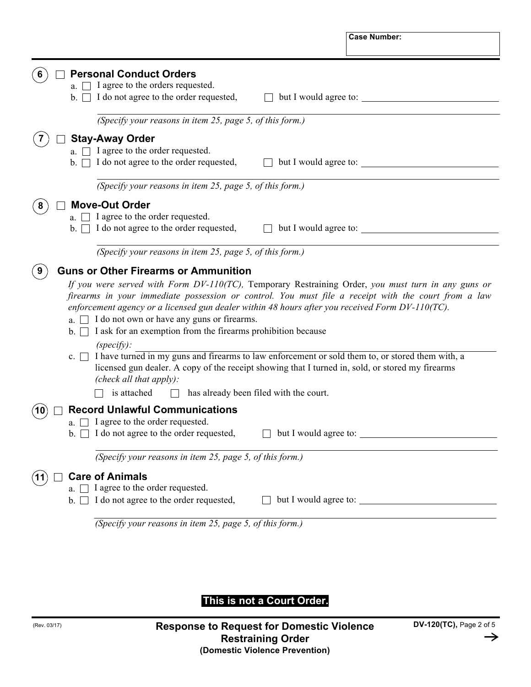|                                                                                                                                                                                                                                                                                                                                                                                                                                                                                                                                                                                                                                                                                                                                                                               |                                        | <b>Case Number:</b>   |
|-------------------------------------------------------------------------------------------------------------------------------------------------------------------------------------------------------------------------------------------------------------------------------------------------------------------------------------------------------------------------------------------------------------------------------------------------------------------------------------------------------------------------------------------------------------------------------------------------------------------------------------------------------------------------------------------------------------------------------------------------------------------------------|----------------------------------------|-----------------------|
| <b>Personal Conduct Orders</b><br>I agree to the orders requested.<br>$\Box$ I do not agree to the order requested,<br>b.1                                                                                                                                                                                                                                                                                                                                                                                                                                                                                                                                                                                                                                                    |                                        |                       |
| (Specify your reasons in item 25, page 5, of this form.)                                                                                                                                                                                                                                                                                                                                                                                                                                                                                                                                                                                                                                                                                                                      |                                        |                       |
| <b>Stay-Away Order</b><br>I agree to the order requested.<br>П<br>I do not agree to the order requested,<br>b.                                                                                                                                                                                                                                                                                                                                                                                                                                                                                                                                                                                                                                                                |                                        |                       |
| (Specify your reasons in item 25, page 5, of this form.)                                                                                                                                                                                                                                                                                                                                                                                                                                                                                                                                                                                                                                                                                                                      |                                        |                       |
| <b>Move-Out Order</b><br>$a. \Box$ I agree to the order requested.<br>$\mathbf{b}$ . $\Box$ I do not agree to the order requested,                                                                                                                                                                                                                                                                                                                                                                                                                                                                                                                                                                                                                                            |                                        |                       |
| (Specify your reasons in item 25, page 5, of this form.)                                                                                                                                                                                                                                                                                                                                                                                                                                                                                                                                                                                                                                                                                                                      |                                        |                       |
| <b>Guns or Other Firearms or Ammunition</b><br>If you were served with Form DV-110(TC), Temporary Restraining Order, you must turn in any guns or<br>firearms in your immediate possession or control. You must file a receipt with the court from a law<br>enforcement agency or a licensed gun dealer within 48 hours after you received Form $DV-110(TC)$ .<br>a. $\Box$ I do not own or have any guns or firearms.<br>b. $\Box$ I ask for an exemption from the firearms prohibition because<br>$(specify)$ :<br>c. $\Box$ I have turned in my guns and firearms to law enforcement or sold them to, or stored them with, a<br>licensed gun dealer. A copy of the receipt showing that I turned in, sold, or stored my firearms<br>(check all that apply):<br>is attached | has already been filed with the court. |                       |
| <b>Record Unlawful Communications</b><br>10                                                                                                                                                                                                                                                                                                                                                                                                                                                                                                                                                                                                                                                                                                                                   |                                        |                       |
| a. $\Box$ I agree to the order requested.<br>$\mathbf{b}$ . $\Box$ I do not agree to the order requested,                                                                                                                                                                                                                                                                                                                                                                                                                                                                                                                                                                                                                                                                     |                                        | but I would agree to: |
| (Specify your reasons in item 25, page 5, of this form.)                                                                                                                                                                                                                                                                                                                                                                                                                                                                                                                                                                                                                                                                                                                      |                                        |                       |
| <b>Care of Animals</b><br>$a. \Box$ I agree to the order requested.<br>b. $\Box$ I do not agree to the order requested,                                                                                                                                                                                                                                                                                                                                                                                                                                                                                                                                                                                                                                                       |                                        | but I would agree to: |
| (Specify your reasons in item 25, page 5, of this form.)                                                                                                                                                                                                                                                                                                                                                                                                                                                                                                                                                                                                                                                                                                                      |                                        |                       |

## **This is not a Court Order.**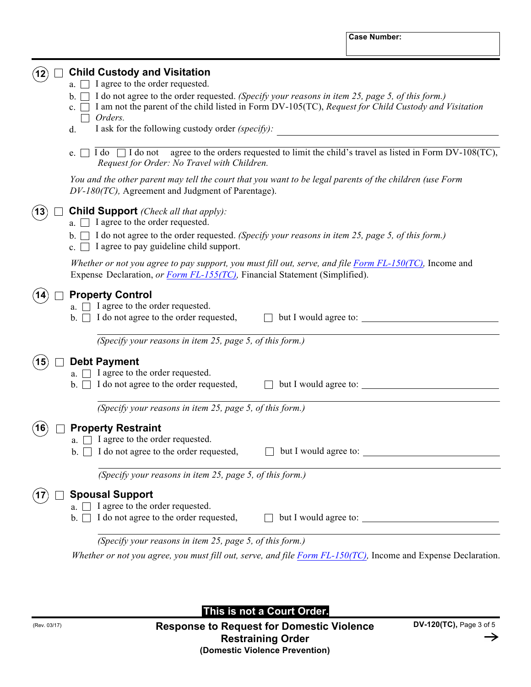|         | $a. \Box$ I agree to the order requested.                                                                                                                                             |  |  |  |  |
|---------|---------------------------------------------------------------------------------------------------------------------------------------------------------------------------------------|--|--|--|--|
|         | I do not agree to the order requested. (Specify your reasons in item 25, page 5, of this form.)<br>$b_{\cdot}$                                                                        |  |  |  |  |
|         | I am not the parent of the child listed in Form DV-105(TC), Request for Child Custody and Visitation<br>$c_{\cdot}$                                                                   |  |  |  |  |
|         | Orders.<br>$\blacksquare$<br>I ask for the following custody order (specify):<br>d.                                                                                                   |  |  |  |  |
|         | <u> 1989 - Andrea State Barbara, amerikan per</u>                                                                                                                                     |  |  |  |  |
|         | $\Box$ I do $\Box$ I do not agree to the orders requested to limit the child's travel as listed in Form DV-108(TC),<br>e. 1<br>Request for Order: No Travel with Children.            |  |  |  |  |
|         | You and the other parent may tell the court that you want to be legal parents of the children (use Form<br>DV-180(TC), Agreement and Judgment of Parentage).                          |  |  |  |  |
|         | <b>Child Support</b> (Check all that apply):<br>a. $\Box$ I agree to the order requested.                                                                                             |  |  |  |  |
|         | b. $\Box$ I do not agree to the order requested. (Specify your reasons in item 25, page 5, of this form.)<br>c. $\Box$ I agree to pay guideline child support.                        |  |  |  |  |
|         | Whether or not you agree to pay support, you must fill out, serve, and file Form FL-150(TC), Income and<br>Expense Declaration, or Form FL-155(TC), Financial Statement (Simplified). |  |  |  |  |
|         | <b>Property Control</b>                                                                                                                                                               |  |  |  |  |
|         | $a. \Box$ I agree to the order requested.                                                                                                                                             |  |  |  |  |
|         | $\mathbf{b}$ . $\Box$ I do not agree to the order requested,<br>but I would agree to:                                                                                                 |  |  |  |  |
|         | (Specify your reasons in item 25, page 5, of this form.)                                                                                                                              |  |  |  |  |
| $15 \,$ | <b>Debt Payment</b>                                                                                                                                                                   |  |  |  |  |
|         | $\Box$ I agree to the order requested.<br>a. I                                                                                                                                        |  |  |  |  |
|         | $\Box$ I do not agree to the order requested,<br>but I would agree to:<br>b.1                                                                                                         |  |  |  |  |
|         | (Specify your reasons in item 25, page 5, of this form.)                                                                                                                              |  |  |  |  |
|         | <b>Property Restraint</b>                                                                                                                                                             |  |  |  |  |
|         | a. $\Box$ I agree to the order requested.                                                                                                                                             |  |  |  |  |
|         | $\Box$ I do not agree to the order requested,<br>but I would agree to:<br>$b_{-}$                                                                                                     |  |  |  |  |
|         | (Specify your reasons in item 25, page 5, of this form.)                                                                                                                              |  |  |  |  |
|         |                                                                                                                                                                                       |  |  |  |  |
|         | <b>Spousal Support</b>                                                                                                                                                                |  |  |  |  |
|         | I agree to the order requested.<br>I do not agree to the order requested,<br>but I would agree to:<br>$b_{-}$                                                                         |  |  |  |  |
|         |                                                                                                                                                                                       |  |  |  |  |
|         | (Specify your reasons in item 25, page 5, of this form.)                                                                                                                              |  |  |  |  |

*Whether or not you agree, you must fill out, serve, and file Form FL-150(TC),* Income and Expense Declaration.

 **This is not a Court Order.**

 $\widehat{\mathsf{A}}$ 2)  $\Box$  Child Custody and Visitation

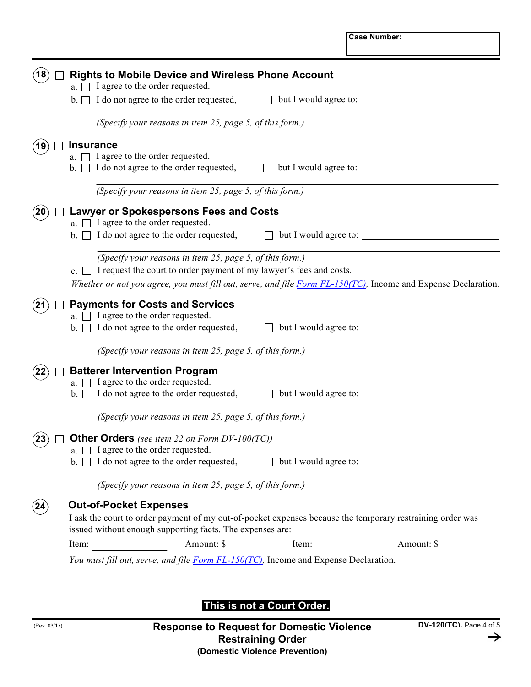|    | b.                         | $\Box$ I agree to the order requested.<br>$\Box$ I do not agree to the order requested,                                                                                |                       |
|----|----------------------------|------------------------------------------------------------------------------------------------------------------------------------------------------------------------|-----------------------|
|    |                            |                                                                                                                                                                        |                       |
|    |                            | (Specify your reasons in item 25, page 5, of this form.)                                                                                                               |                       |
|    |                            | <b>Insurance</b>                                                                                                                                                       |                       |
|    |                            | a. $\Box$ I agree to the order requested.                                                                                                                              |                       |
|    |                            | b. $\Box$ I do not agree to the order requested,                                                                                                                       |                       |
|    |                            | (Specify your reasons in item 25, page 5, of this form.)                                                                                                               |                       |
|    |                            | <b>Lawyer or Spokespersons Fees and Costs</b>                                                                                                                          |                       |
|    |                            | a. $\Box$ I agree to the order requested.                                                                                                                              |                       |
|    |                            | b. $\Box$ I do not agree to the order requested,                                                                                                                       |                       |
|    |                            | (Specify your reasons in item 25, page 5, of this form.)                                                                                                               |                       |
|    | c. $\lfloor \cdot \rfloor$ | I request the court to order payment of my lawyer's fees and costs.                                                                                                    |                       |
|    |                            | Whether or not you agree, you must fill out, serve, and file Form $FL-150/TC$ ), Income and Expense Declaration.                                                       |                       |
|    |                            | <b>Payments for Costs and Services</b>                                                                                                                                 |                       |
|    | $a_{\cdot}$                | I agree to the order requested.                                                                                                                                        |                       |
|    |                            | I do not agree to the order requested,                                                                                                                                 |                       |
|    |                            | (Specify your reasons in item 25, page 5, of this form.)                                                                                                               |                       |
|    |                            | <b>Batterer Intervention Program</b>                                                                                                                                   |                       |
|    |                            | I agree to the order requested.                                                                                                                                        |                       |
|    |                            | $\mathbf{b}$ . $\Box$ I do not agree to the order requested,                                                                                                           |                       |
|    |                            | (Specify your reasons in item 25, page 5, of this form.)                                                                                                               |                       |
| 23 |                            | <b>Other Orders</b> (see item 22 on Form $DV-100(TC)$ )                                                                                                                |                       |
|    |                            | a. $\Box$ I agree to the order requested.                                                                                                                              |                       |
|    | $b_{\cdot}$                | I do not agree to the order requested,                                                                                                                                 | but I would agree to: |
|    |                            | (Specify your reasons in item 25, page 5, of this form.)                                                                                                               |                       |
|    |                            | <b>Out-of-Pocket Expenses</b>                                                                                                                                          |                       |
|    |                            | I ask the court to order payment of my out-of-pocket expenses because the temporary restraining order was<br>issued without enough supporting facts. The expenses are: |                       |
|    | Item:                      |                                                                                                                                                                        |                       |

 **This is not a Court Order.**